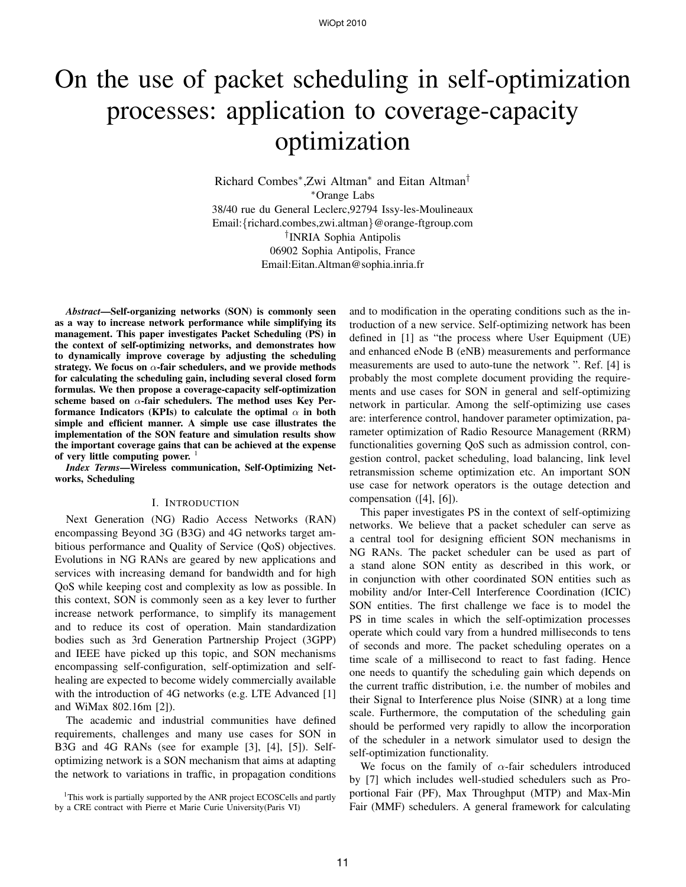# On the use of packet scheduling in self-optimization processes: application to coverage-capacity optimization

Richard Combes<sup>∗</sup> ,Zwi Altman<sup>∗</sup> and Eitan Altman† <sup>∗</sup>Orange Labs 38/40 rue du General Leclerc,92794 Issy-les-Moulineaux Email:{richard.combes,zwi.altman}@orange-ftgroup.com † INRIA Sophia Antipolis 06902 Sophia Antipolis, France Email:Eitan.Altman@sophia.inria.fr

*Abstract***—Self-organizing networks (SON) is commonly seen as a way to increase network performance while simplifying its management. This paper investigates Packet Scheduling (PS) in the context of self-optimizing networks, and demonstrates how to dynamically improve coverage by adjusting the scheduling strategy. We focus on** α**-fair schedulers, and we provide methods for calculating the scheduling gain, including several closed form formulas. We then propose a coverage-capacity self-optimization scheme based on** α**-fair schedulers. The method uses Key Performance Indicators (KPIs) to calculate the optimal**  $\alpha$  **in both simple and efficient manner. A simple use case illustrates the implementation of the SON feature and simulation results show the important coverage gains that can be achieved at the expense of very little computing power.** <sup>1</sup>

*Index Terms***—Wireless communication, Self-Optimizing Networks, Scheduling**

#### I. INTRODUCTION

Next Generation (NG) Radio Access Networks (RAN) encompassing Beyond 3G (B3G) and 4G networks target ambitious performance and Quality of Service (QoS) objectives. Evolutions in NG RANs are geared by new applications and services with increasing demand for bandwidth and for high QoS while keeping cost and complexity as low as possible. In this context, SON is commonly seen as a key lever to further increase network performance, to simplify its management and to reduce its cost of operation. Main standardization bodies such as 3rd Generation Partnership Project (3GPP) and IEEE have picked up this topic, and SON mechanisms encompassing self-configuration, self-optimization and selfhealing are expected to become widely commercially available with the introduction of 4G networks (e.g. LTE Advanced [1] and WiMax 802.16m [2]).

The academic and industrial communities have defined requirements, challenges and many use cases for SON in B3G and 4G RANs (see for example [3], [4], [5]). Selfoptimizing network is a SON mechanism that aims at adapting the network to variations in traffic, in propagation conditions

<sup>1</sup>This work is partially supported by the ANR project ECOSCells and partly by a CRE contract with Pierre et Marie Curie University(Paris VI)

and to modification in the operating conditions such as the introduction of a new service. Self-optimizing network has been defined in [1] as "the process where User Equipment (UE) and enhanced eNode B (eNB) measurements and performance measurements are used to auto-tune the network ". Ref. [4] is probably the most complete document providing the requirements and use cases for SON in general and self-optimizing network in particular. Among the self-optimizing use cases are: interference control, handover parameter optimization, parameter optimization of Radio Resource Management (RRM) functionalities governing QoS such as admission control, congestion control, packet scheduling, load balancing, link level retransmission scheme optimization etc. An important SON use case for network operators is the outage detection and compensation ([4], [6]).

This paper investigates PS in the context of self-optimizing networks. We believe that a packet scheduler can serve as a central tool for designing efficient SON mechanisms in NG RANs. The packet scheduler can be used as part of a stand alone SON entity as described in this work, or in conjunction with other coordinated SON entities such as mobility and/or Inter-Cell Interference Coordination (ICIC) SON entities. The first challenge we face is to model the PS in time scales in which the self-optimization processes operate which could vary from a hundred milliseconds to tens of seconds and more. The packet scheduling operates on a time scale of a millisecond to react to fast fading. Hence one needs to quantify the scheduling gain which depends on the current traffic distribution, i.e. the number of mobiles and their Signal to Interference plus Noise (SINR) at a long time scale. Furthermore, the computation of the scheduling gain should be performed very rapidly to allow the incorporation of the scheduler in a network simulator used to design the self-optimization functionality.

We focus on the family of  $\alpha$ -fair schedulers introduced by [7] which includes well-studied schedulers such as Proportional Fair (PF), Max Throughput (MTP) and Max-Min Fair (MMF) schedulers. A general framework for calculating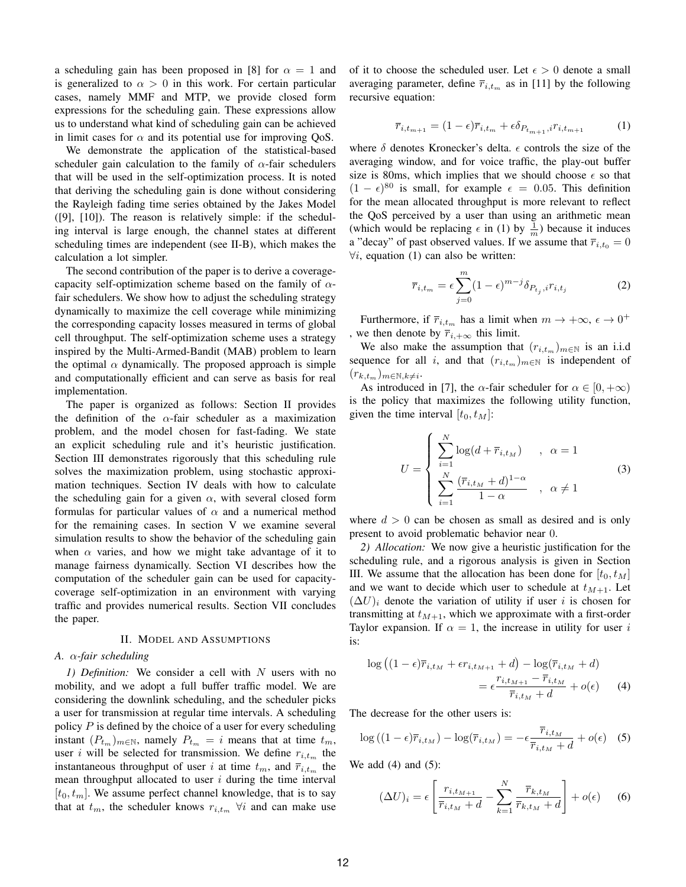a scheduling gain has been proposed in [8] for  $\alpha = 1$  and is generalized to  $\alpha > 0$  in this work. For certain particular cases, namely MMF and MTP, we provide closed form expressions for the scheduling gain. These expressions allow us to understand what kind of scheduling gain can be achieved in limit cases for  $\alpha$  and its potential use for improving QoS.

We demonstrate the application of the statistical-based scheduler gain calculation to the family of  $\alpha$ -fair schedulers that will be used in the self-optimization process. It is noted that deriving the scheduling gain is done without considering the Rayleigh fading time series obtained by the Jakes Model ([9], [10]). The reason is relatively simple: if the scheduling interval is large enough, the channel states at different scheduling times are independent (see II-B), which makes the calculation a lot simpler.

The second contribution of the paper is to derive a coveragecapacity self-optimization scheme based on the family of  $\alpha$ fair schedulers. We show how to adjust the scheduling strategy dynamically to maximize the cell coverage while minimizing the corresponding capacity losses measured in terms of global cell throughput. The self-optimization scheme uses a strategy inspired by the Multi-Armed-Bandit (MAB) problem to learn the optimal  $\alpha$  dynamically. The proposed approach is simple and computationally efficient and can serve as basis for real implementation.

The paper is organized as follows: Section II provides the definition of the  $\alpha$ -fair scheduler as a maximization problem, and the model chosen for fast-fading. We state an explicit scheduling rule and it's heuristic justification. Section III demonstrates rigorously that this scheduling rule solves the maximization problem, using stochastic approximation techniques. Section IV deals with how to calculate the scheduling gain for a given  $\alpha$ , with several closed form formulas for particular values of  $\alpha$  and a numerical method for the remaining cases. In section V we examine several simulation results to show the behavior of the scheduling gain when  $\alpha$  varies, and how we might take advantage of it to manage fairness dynamically. Section VI describes how the computation of the scheduler gain can be used for capacitycoverage self-optimization in an environment with varying traffic and provides numerical results. Section VII concludes the paper.

## II. MODEL AND ASSUMPTIONS

# *A.* α*-fair scheduling*

*1) Definition:* We consider a cell with N users with no mobility, and we adopt a full buffer traffic model. We are considering the downlink scheduling, and the scheduler picks a user for transmission at regular time intervals. A scheduling policy  $P$  is defined by the choice of a user for every scheduling instant  $(P_{t_m})_{m \in \mathbb{N}}$ , namely  $P_{t_m} = i$  means that at time  $t_m$ , user *i* will be selected for transmission. We define  $r_{i,t_m}$  the instantaneous throughput of user i at time  $t_m$ , and  $\overline{r}_{i,t_m}$  the mean throughput allocated to user  $i$  during the time interval  $[t_0, t_m]$ . We assume perfect channel knowledge, that is to say that at  $t_m$ , the scheduler knows  $r_{i,t_m}$   $\forall i$  and can make use

of it to choose the scheduled user. Let  $\epsilon > 0$  denote a small averaging parameter, define  $\overline{r}_{i,t_m}$  as in [11] by the following recursive equation:

$$
\overline{r}_{i,t_{m+1}} = (1 - \epsilon)\overline{r}_{i,t_m} + \epsilon \delta_{P_{t_{m+1}},i} r_{i,t_{m+1}} \tag{1}
$$

where  $\delta$  denotes Kronecker's delta.  $\epsilon$  controls the size of the averaging window, and for voice traffic, the play-out buffer size is 80ms, which implies that we should choose  $\epsilon$  so that  $(1 - \epsilon)^{80}$  is small, for example  $\epsilon = 0.05$ . This definition for the mean allocated throughput is more relevant to reflect the QoS perceived by a user than using an arithmetic mean (which would be replacing  $\epsilon$  in (1) by  $\frac{1}{m}$ ) because it induces a "decay" of past observed values. If we assume that  $\overline{r}_{i,t_0} = 0$  $\forall i$ , equation (1) can also be written:

$$
\overline{r}_{i,t_m} = \epsilon \sum_{j=0}^{m} (1 - \epsilon)^{m-j} \delta_{P_{t_j},i} r_{i,t_j}
$$
 (2)

Furthermore, if  $\overline{r}_{i,t_m}$  has a limit when  $m \to +\infty$ ,  $\epsilon \to 0^+$ , we then denote by  $\overline{r}_{i,+\infty}$  this limit.

We also make the assumption that  $(r_{i,t_m})_{m\in\mathbb{N}}$  is an i.i.d sequence for all i, and that  $(r_{i,t_m})_{m\in\mathbb{N}}$  is independent of  $(r_{k,t_m})_{m \in \mathbb{N}, k \neq i}$ .

As introduced in [7], the  $\alpha$ -fair scheduler for  $\alpha \in [0, +\infty)$ is the policy that maximizes the following utility function, given the time interval  $[t_0, t_M]$ :

$$
U = \begin{cases} \sum_{i=1}^{N} \log(d + \overline{r}_{i, t_M}) & , \ \alpha = 1\\ \sum_{i=1}^{N} \frac{(\overline{r}_{i, t_M} + d)^{1-\alpha}}{1-\alpha} & , \ \alpha \neq 1 \end{cases} \tag{3}
$$

where  $d > 0$  can be chosen as small as desired and is only present to avoid problematic behavior near 0.

*2) Allocation:* We now give a heuristic justification for the scheduling rule, and a rigorous analysis is given in Section III. We assume that the allocation has been done for  $[t_0, t_M]$ and we want to decide which user to schedule at  $t_{M+1}$ . Let  $(\Delta U)_i$  denote the variation of utility if user i is chosen for transmitting at  $t_{M+1}$ , which we approximate with a first-order Taylor expansion. If  $\alpha = 1$ , the increase in utility for user i is:

$$
\log ((1 - \epsilon)\overline{r}_{i,t_M} + \epsilon r_{i,t_{M+1}} + d) - \log(\overline{r}_{i,t_M} + d)
$$

$$
= \epsilon \frac{r_{i,t_{M+1}} - \overline{r}_{i,t_M}}{\overline{r}_{i,t_M} + d} + o(\epsilon) \qquad (4)
$$

The decrease for the other users is:

$$
\log((1 - \epsilon)\overline{r}_{i,t_M}) - \log(\overline{r}_{i,t_M}) = -\epsilon \frac{\overline{r}_{i,t_M}}{\overline{r}_{i,t_M} + d} + o(\epsilon) \quad (5)
$$

We add  $(4)$  and  $(5)$ :

$$
(\Delta U)_i = \epsilon \left[ \frac{r_{i,t_{M+1}}}{\overline{r}_{i,t_M} + d} - \sum_{k=1}^N \frac{\overline{r}_{k,t_M}}{\overline{r}_{k,t_M} + d} \right] + o(\epsilon) \quad (6)
$$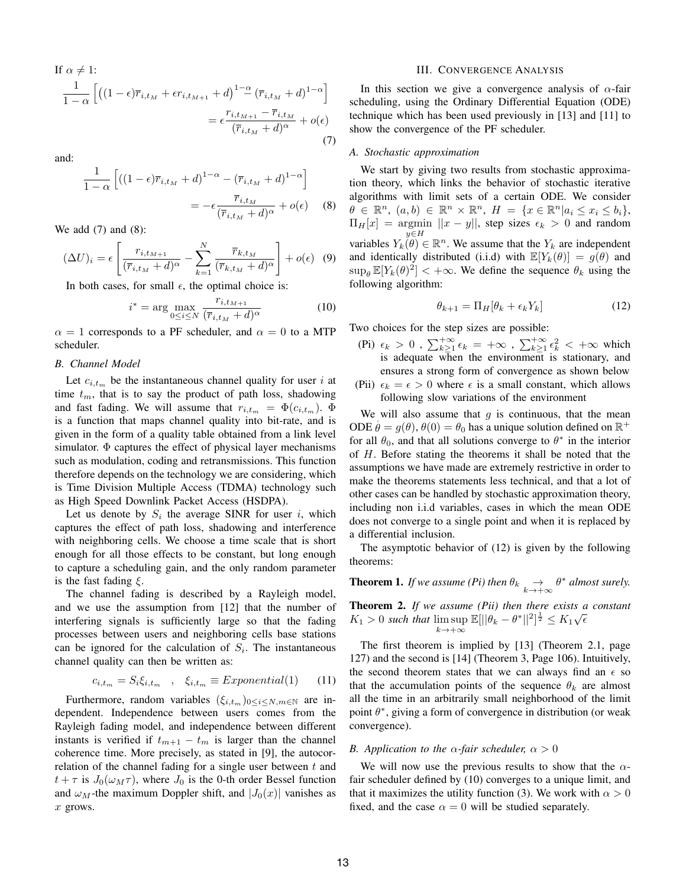If 
$$
\alpha \neq 1
$$
:  
\n
$$
\frac{1}{1-\alpha} \left[ \left( (1-\epsilon)\overline{r}_{i,t_M} + \epsilon r_{i,t_{M+1}} + d \right)^{1-\alpha} \left( \overline{r}_{i,t_M} + d \right)^{1-\alpha} \right]
$$
\n
$$
= \epsilon \frac{r_{i,t_{M+1}} - \overline{r}_{i,t_M}}{(\overline{r}_{i,t_M} + d)^{\alpha}} + o(\epsilon)
$$
\n(7)

and:

$$
\frac{1}{1-\alpha} \left[ ((1-\epsilon)\overline{r}_{i,t_M} + d)^{1-\alpha} - (\overline{r}_{i,t_M} + d)^{1-\alpha} \right]
$$

$$
= -\epsilon \frac{\overline{r}_{i,t_M}}{(\overline{r}_{i,t_M} + d)^{\alpha}} + o(\epsilon) \quad (8)
$$

We add (7) and (8):

$$
(\Delta U)_i = \epsilon \left[ \frac{r_{i,t_{M+1}}}{(\overline{r}_{i,t_M} + d)^{\alpha}} - \sum_{k=1}^N \frac{\overline{r}_{k,t_M}}{(\overline{r}_{k,t_M} + d)^{\alpha}} \right] + o(\epsilon) \quad (9)
$$

In both cases, for small  $\epsilon$ , the optimal choice is:

$$
i^* = \arg\max_{0 \le i \le N} \frac{r_{i,t_{M+1}}}{(\overline{r}_{i,t_M} + d)^{\alpha}} \tag{10}
$$

 $\alpha = 1$  corresponds to a PF scheduler, and  $\alpha = 0$  to a MTP scheduler.

## *B. Channel Model*

Let  $c_{i,t_m}$  be the instantaneous channel quality for user i at time  $t_m$ , that is to say the product of path loss, shadowing and fast fading. We will assume that  $r_{i,tm} = \Phi(c_{i,tm})$ .  $\Phi$ is a function that maps channel quality into bit-rate, and is given in the form of a quality table obtained from a link level simulator.  $\Phi$  captures the effect of physical layer mechanisms such as modulation, coding and retransmissions. This function therefore depends on the technology we are considering, which is Time Division Multiple Access (TDMA) technology such as High Speed Downlink Packet Access (HSDPA).

Let us denote by  $S_i$  the average SINR for user i, which captures the effect of path loss, shadowing and interference with neighboring cells. We choose a time scale that is short enough for all those effects to be constant, but long enough to capture a scheduling gain, and the only random parameter is the fast fading  $\xi$ .

The channel fading is described by a Rayleigh model, and we use the assumption from [12] that the number of interfering signals is sufficiently large so that the fading processes between users and neighboring cells base stations can be ignored for the calculation of  $S_i$ . The instantaneous channel quality can then be written as:

$$
c_{i,t_m} = S_i \xi_{i,t_m} \quad , \quad \xi_{i,t_m} \equiv Exponential(1) \tag{11}
$$

Furthermore, random variables  $(\xi_{i,t_m})_{0\leq i\leq N,m\in\mathbb{N}}$  are independent. Independence between users comes from the Rayleigh fading model, and independence between different instants is verified if  $t_{m+1} - t_m$  is larger than the channel coherence time. More precisely, as stated in [9], the autocorrelation of the channel fading for a single user between  $t$  and  $t + \tau$  is  $J_0(\omega_M \tau)$ , where  $J_0$  is the 0-th order Bessel function and  $\omega_M$ -the maximum Doppler shift, and  $|J_0(x)|$  vanishes as  $x$  grows.

### III. CONVERGENCE ANALYSIS

In this section we give a convergence analysis of  $\alpha$ -fair scheduling, using the Ordinary Differential Equation (ODE) technique which has been used previously in [13] and [11] to show the convergence of the PF scheduler.

## *A. Stochastic approximation*

We start by giving two results from stochastic approximation theory, which links the behavior of stochastic iterative algorithms with limit sets of a certain ODE. We consider  $\theta \in \mathbb{R}^n$ ,  $(a, b) \in \mathbb{R}^n \times \mathbb{R}^n$ ,  $H = \{x \in \mathbb{R}^n | a_i \le x_i \le b_i \},$  $\Pi_H[x] = \underset{n \in \mathcal{H}}{\text{argmin}} ||x - y||$ , step sizes  $\epsilon_k > 0$  and random variables  $Y_k^{y \in H}$ . We assume that the  $Y_k$  are independent and identically distributed (i.i.d) with  $\mathbb{E}[Y_k(\theta)] = g(\theta)$  and  $\sup_{\theta} \mathbb{E}[Y_k(\theta)^2] < +\infty$ . We define the sequence  $\theta_k$  using the following algorithm:

$$
\theta_{k+1} = \Pi_H[\theta_k + \epsilon_k Y_k] \tag{12}
$$

Two choices for the step sizes are possible:

- (Pi)  $\epsilon_k > 0$ ,  $\sum_{k\geq 1}^{+\infty} \epsilon_k = +\infty$ ,  $\sum_{k\geq 1}^{+\infty} \epsilon_k^2 < +\infty$  which is adequate when the environment is stationary, and ensures a strong form of convergence as shown below
- (Pii)  $\epsilon_k = \epsilon > 0$  where  $\epsilon$  is a small constant, which allows following slow variations of the environment

We will also assume that g is continuous, that the mean ODE  $\dot{\theta} = g(\theta), \theta(0) = \theta_0$  has a unique solution defined on  $\mathbb{R}^+$ for all  $\theta_0$ , and that all solutions converge to  $\theta^*$  in the interior of H. Before stating the theorems it shall be noted that the assumptions we have made are extremely restrictive in order to make the theorems statements less technical, and that a lot of other cases can be handled by stochastic approximation theory, including non i.i.d variables, cases in which the mean ODE does not converge to a single point and when it is replaced by a differential inclusion.

The asymptotic behavior of (12) is given by the following theorems:

**Theorem 1.** *If we assume (Pi) then*  $\theta_k \underset{k \to +\infty}{\to} \theta^*$  *almost surely.* 

**Theorem 2.** *If we assume (Pii) then there exists a constant*  $K_1 > 0$  such that  $\limsup_{k \to \infty} \mathbb{E}[||\theta_k - \theta^*||^2]^{\frac{1}{2}} \leq K_1 \sqrt{\epsilon}$  $k\!\to\!+\infty$ 

The first theorem is implied by [13] (Theorem 2.1, page 127) and the second is [14] (Theorem 3, Page 106). Intuitively, the second theorem states that we can always find an  $\epsilon$  so that the accumulation points of the sequence  $\theta_k$  are almost all the time in an arbitrarily small neighborhood of the limit point  $\theta^*$ , giving a form of convergence in distribution (or weak convergence).

## *B. Application to the*  $\alpha$ *-fair scheduler,*  $\alpha > 0$

We will now use the previous results to show that the  $\alpha$ fair scheduler defined by (10) converges to a unique limit, and that it maximizes the utility function (3). We work with  $\alpha > 0$ fixed, and the case  $\alpha = 0$  will be studied separately.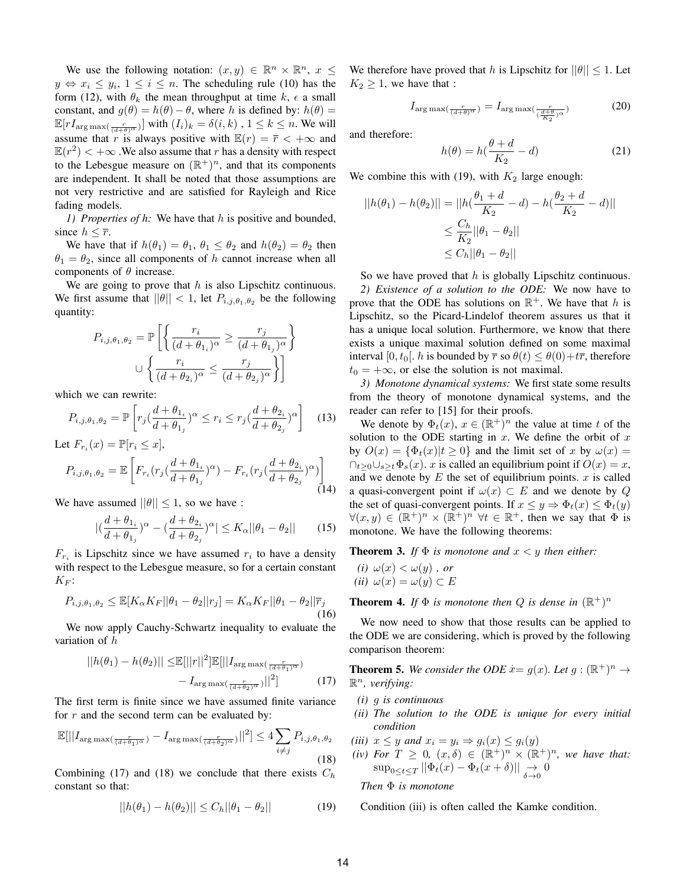We use the following notation:  $(x, y) \in \mathbb{R}^n \times \mathbb{R}^n$ ,  $x \leq$  $y \Leftrightarrow x_i \leq y_i, 1 \leq i \leq n$ . The scheduling rule (10) has the form (12), with  $\theta_k$  the mean throughput at time  $k, \epsilon$  a small constant, and  $g(\theta) = h(\theta) - \theta$ , where h is defined by:  $h(\theta) =$  $\mathbb{E}[rI_{\arg \max(\frac{r}{(d+\theta)^{\alpha}})}]$  with  $(I_i)_k = \delta(i,k)$  ,  $1 \leq k \leq n$ . We will assume that r is always positive with  $\mathbb{E}(r) = \overline{r} < +\infty$  and  $\mathbb{E}(r^2) < +\infty$ . We also assume that r has a density with respect to the Lebesgue measure on  $(\mathbb{R}^+)^n$ , and that its components are independent. It shall be noted that those assumptions are not very restrictive and are satisfied for Rayleigh and Rice fading models.

*1) Properties of h:* We have that h is positive and bounded, since  $h \leq \overline{r}$ .

We have that if  $h(\theta_1) = \theta_1$ ,  $\theta_1 \leq \theta_2$  and  $h(\theta_2) = \theta_2$  then  $\theta_1 = \theta_2$ , since all components of h cannot increase when all components of  $\theta$  increase.

We are going to prove that  $h$  is also Lipschitz continuous. We first assume that  $||\theta|| < 1$ , let  $P_{i,j,\theta_1,\theta_2}$  be the following quantity:

$$
P_{i,j,\theta_1,\theta_2} = \mathbb{P}\left[\left\{\frac{r_i}{(d+\theta_{1_i})^{\alpha}} \ge \frac{r_j}{(d+\theta_{1_j})^{\alpha}}\right\} \cup \left\{\frac{r_i}{(d+\theta_{2_i})^{\alpha}} \le \frac{r_j}{(d+\theta_{2_j})^{\alpha}}\right\}\right]
$$

which we can rewrite:

$$
P_{i,j,\theta_1,\theta_2} = \mathbb{P}\left[r_j\left(\frac{d+\theta_{1}}{d+\theta_{1}}\right)^{\alpha} \le r_i \le r_j\left(\frac{d+\theta_{2}}{d+\theta_{2}}\right)^{\alpha}\right] \tag{13}
$$

Let 
$$
F_{r_i}(x) = \mathbb{P}[r_i \le x],
$$
  
\n
$$
P_{i,j,\theta_1,\theta_2} = \mathbb{E}\left[F_{r_i}(r_j(\frac{d+\theta_{1_i}}{d+\theta_{1_j}})^{\alpha}) - F_{r_i}(r_j(\frac{d+\theta_{2_i}}{d+\theta_{2_j}})^{\alpha})\right]
$$
\n(14)

We have assumed  $||\theta|| \leq 1$ , so we have :

$$
|(\frac{d+\theta_{1_i}}{d+\theta_{1_j}})^{\alpha} - (\frac{d+\theta_{2_i}}{d+\theta_{2_j}})^{\alpha}| \le K_{\alpha} ||\theta_1 - \theta_2|| \qquad (15)
$$

 $F_{r_i}$  is Lipschitz since we have assumed  $r_i$  to have a density with respect to the Lebesgue measure, so for a certain constant  $K_F$ :

$$
P_{i,j,\theta_1,\theta_2} \leq \mathbb{E}[K_\alpha K_F || \theta_1 - \theta_2 || r_j] = K_\alpha K_F || \theta_1 - \theta_2 || \overline{r}_j
$$
\n(16)

We now apply Cauchy-Schwartz inequality to evaluate the variation of h

$$
||h(\theta_1) - h(\theta_2)|| \leq \mathbb{E}[||r||^2] \mathbb{E}[||I_{\arg \max(\frac{r}{(d+\theta_1)^{\alpha}})} - I_{\arg \max(\frac{r}{(d+\theta_2)^{\alpha}})}||^2]
$$
 (17)

The first term is finite since we have assumed finite variance for  $r$  and the second term can be evaluated by:

$$
\mathbb{E}[||I_{\arg\max(\frac{r}{(d+\theta_1)^{\alpha}})} - I_{\arg\max(\frac{r}{(d+\theta_2)^{\alpha}})}||^2] \le 4 \sum_{i \ne j} P_{i,j,\theta_1,\theta_2}
$$
\n(18)

Combining (17) and (18) we conclude that there exists  $C_h$ constant so that:

$$
||h(\theta_1) - h(\theta_2)|| \le C_h ||\theta_1 - \theta_2|| \tag{19}
$$

We therefore have proved that h is Lipschitz for  $||\theta|| \leq 1$ . Let  $K_2 \geq 1$ , we have that :

$$
I_{\arg\max(\frac{r}{(d+\theta)^{\alpha}})} = I_{\arg\max(\frac{r}{(\frac{d+\theta}{K_2})^{\alpha}})} \tag{20}
$$

and therefore:

$$
h(\theta) = h(\frac{\theta + d}{K_2} - d)
$$
 (21)

We combine this with (19), with  $K_2$  large enough:

$$
||h(\theta_1) - h(\theta_2)|| = ||h(\frac{\theta_1 + d}{K_2} - d) - h(\frac{\theta_2 + d}{K_2} - d)||
$$
  

$$
\leq \frac{C_h}{K_2} ||\theta_1 - \theta_2||
$$
  

$$
\leq C_h ||\theta_1 - \theta_2||
$$

So we have proved that  $h$  is globally Lipschitz continuous. *2) Existence of a solution to the ODE:* We now have to prove that the ODE has solutions on  $\mathbb{R}^+$ . We have that h is Lipschitz, so the Picard-Lindelof theorem assures us that it has a unique local solution. Furthermore, we know that there exists a unique maximal solution defined on some maximal interval [0,  $t_0$ ]. h is bounded by  $\overline{r}$  so  $\theta(t) \leq \theta(0) + t\overline{r}$ , therefore  $t_0 = +\infty$ , or else the solution is not maximal.

*3) Monotone dynamical systems:* We first state some results from the theory of monotone dynamical systems, and the reader can refer to [15] for their proofs.

We denote by  $\Phi_t(x)$ ,  $x \in (\mathbb{R}^+)^n$  the value at time t of the solution to the ODE starting in  $x$ . We define the orbit of  $x$ by  $O(x) = {\Phi_t(x)|t > 0}$  and the limit set of x by  $\omega(x) =$  $\bigcap_{t>0}\bigcup_{s\geq t}\Phi_s(x)$ . x is called an equilibrium point if  $O(x)=x$ , and we denote by  $E$  the set of equilibrium points.  $x$  is called a quasi-convergent point if  $\omega(x) \subset E$  and we denote by Q the set of quasi-convergent points. If  $x \leq y \Rightarrow \Phi_t(x) \leq \Phi_t(y)$  $\forall (x, y) \in (\mathbb{R}^+)^n \times (\mathbb{R}^+)^n \forall t \in \mathbb{R}^+$ , then we say that  $\Phi$  is monotone. We have the following theorems:

**Theorem 3.** *If*  $\Phi$  *is monotone and*  $x < y$  *then either:* 

(*i*) 
$$
\omega(x) < \omega(y)
$$
, or  
(*ii*)  $\omega(x) = \omega(y) \subset E$ 

**Theorem 4.** If  $\Phi$  is monotone then Q is dense in  $(\mathbb{R}^+)^n$ 

We now need to show that those results can be applied to the ODE we are considering, which is proved by the following comparison theorem:

**Theorem 5.** We consider the ODE  $x = g(x)$ . Let  $g : (\mathbb{R}^+)^n \to \mathbb{R}$ R <sup>n</sup>*, verifying:*

- *(i)* g *is continuous*
- *(ii) The solution to the ODE is unique for every initial condition*
- *(iii)*  $x \leq y$  *and*  $x_i = y_i \Rightarrow g_i(x) \leq g_i(y)$
- (*iv*) For  $T \geq 0$ ,  $(x, \delta) \in (\mathbb{R}^+)^n \times (\mathbb{R}^+)^n$ , we have that:  $\sup_{0\leq t\leq T} ||\Phi_t(x) - \Phi_t(x+\delta)|| \underset{\delta\to 0}{\to} 0$

*Then* Φ *is monotone*

Condition (iii) is often called the Kamke condition.

1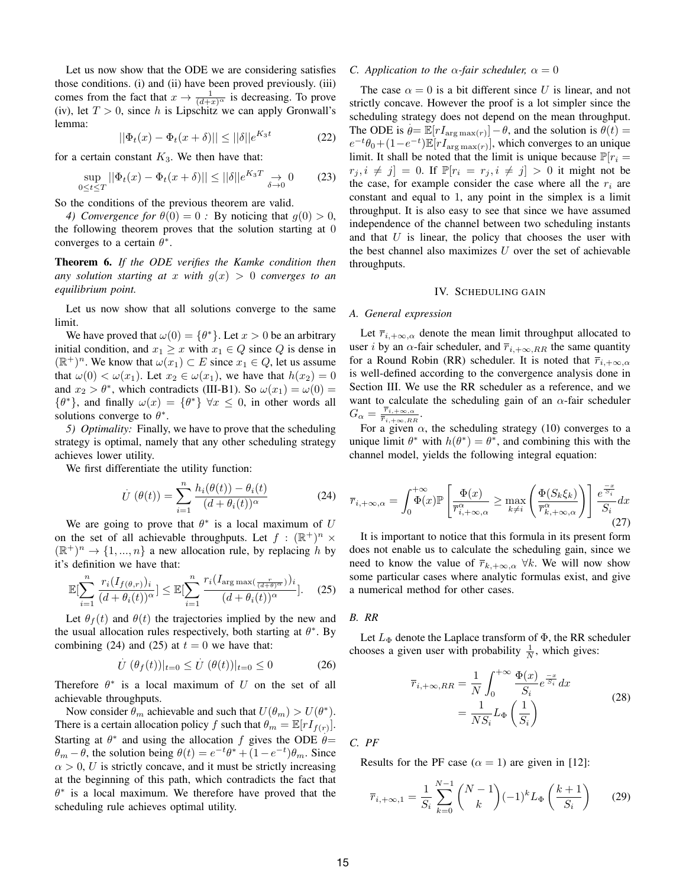Let us now show that the ODE we are considering satisfies those conditions. (i) and (ii) have been proved previously. (iii) comes from the fact that  $x \to \frac{1}{(d+x)^\alpha}$  is decreasing. To prove (iv), let  $T > 0$ , since h is Lipschitz we can apply Gronwall's lemma:

$$
||\Phi_t(x) - \Phi_t(x+\delta)|| \le ||\delta||e^{K_3 t} \tag{22}
$$

for a certain constant  $K_3$ . We then have that:

$$
\sup_{0 \le t \le T} ||\Phi_t(x) - \Phi_t(x+\delta)|| \le ||\delta||e^{K_3 T} \to 0 \qquad (23)
$$

So the conditions of the previous theorem are valid.

*4) Convergence for*  $\theta(0) = 0$ : By noticing that  $g(0) > 0$ , the following theorem proves that the solution starting at 0 converges to a certain  $\theta^*$ .

**Theorem 6.** *If the ODE verifies the Kamke condition then any solution starting at* x *with*  $g(x) > 0$  *converges to an equilibrium point.*

Let us now show that all solutions converge to the same limit.

We have proved that  $\omega(0) = \{\theta^*\}$ . Let  $x > 0$  be an arbitrary initial condition, and  $x_1 \geq x$  with  $x_1 \in Q$  since Q is dense in  $(\mathbb{R}^+)^n$ . We know that  $\omega(x_1) \subset E$  since  $x_1 \in Q$ , let us assume that  $\omega(0) < \omega(x_1)$ . Let  $x_2 \in \omega(x_1)$ , we have that  $h(x_2) = 0$ and  $x_2 > \theta^*$ , which contradicts (III-B1). So  $\omega(x_1) = \omega(0) =$  $\{\theta^*\}$ , and finally  $\omega(x) = \{\theta^*\} \forall x \leq 0$ , in other words all solutions converge to  $\theta^*$ .

*5) Optimality:* Finally, we have to prove that the scheduling strategy is optimal, namely that any other scheduling strategy achieves lower utility.

We first differentiate the utility function:

$$
\dot{U}\left(\theta(t)\right) = \sum_{i=1}^{n} \frac{h_i(\theta(t)) - \theta_i(t)}{(d + \theta_i(t))^{\alpha}} \tag{24}
$$

We are going to prove that  $\theta^*$  is a local maximum of U on the set of all achievable throughputs. Let  $f : (\mathbb{R}^+)^n \times$  $(\mathbb{R}^+)^n \to \{1, ..., n\}$  a new allocation rule, by replacing h by it's definition we have that:

$$
\mathbb{E}[\sum_{i=1}^{n} \frac{r_i(I_{f(\theta,r)})_i}{(d+\theta_i(t))^{\alpha}}] \leq \mathbb{E}[\sum_{i=1}^{n} \frac{r_i(I_{\arg\max(\frac{r}{(d+\theta)^{\alpha}})})_i}{(d+\theta_i(t))^{\alpha}}].
$$
 (25)

Let  $\theta_f(t)$  and  $\theta(t)$  the trajectories implied by the new and the usual allocation rules respectively, both starting at  $\theta^*$ . By combining (24) and (25) at  $t = 0$  we have that:

$$
\dot{U} \left( \theta_f(t) \right) \vert_{t=0} \le \dot{U} \left( \theta(t) \right) \vert_{t=0} \le 0 \tag{26}
$$

Therefore  $\theta^*$  is a local maximum of U on the set of all achievable throughputs.

Now consider  $\theta_m$  achievable and such that  $U(\theta_m) > U(\theta^*).$ There is a certain allocation policy f such that  $\theta_m = \mathbb{E}[rI_{f(r)}].$ Starting at  $\theta^*$  and using the allocation f gives the ODE  $\dot{\theta}$ =  $\theta_m - \theta$ , the solution being  $\theta(t) = e^{-t}\theta^* + (1 - e^{-t})\theta_m$ . Since  $\alpha > 0$ , U is strictly concave, and it must be strictly increasing at the beginning of this path, which contradicts the fact that  $\theta^*$  is a local maximum. We therefore have proved that the scheduling rule achieves optimal utility.

## *C. Application to the*  $\alpha$ -fair scheduler,  $\alpha = 0$

The case  $\alpha = 0$  is a bit different since U is linear, and not strictly concave. However the proof is a lot simpler since the scheduling strategy does not depend on the mean throughput. . The ODE is  $\theta = \mathbb{E}[rI_{\arg \max(r)}] - \theta$ , and the solution is  $\theta(t) =$  $e^{-t}\theta_0 + (1-e^{-t})\mathbb{E}[rI_{\arg\max(r)}],$  which converges to an unique limit. It shall be noted that the limit is unique because  $\mathbb{P}[r_i =$  $r_j, i \neq j$  = 0. If  $\mathbb{P}[r_i = r_j, i \neq j] > 0$  it might not be the case, for example consider the case where all the  $r_i$  are constant and equal to 1, any point in the simplex is a limit throughput. It is also easy to see that since we have assumed independence of the channel between two scheduling instants and that  $U$  is linear, the policy that chooses the user with the best channel also maximizes  $U$  over the set of achievable throughputs.

#### IV. SCHEDULING GAIN

## *A. General expression*

Let  $\overline{r}_{i,+\infty,\alpha}$  denote the mean limit throughput allocated to user *i* by an  $\alpha$ -fair scheduler, and  $\overline{r}_{i,+\infty,RR}$  the same quantity for a Round Robin (RR) scheduler. It is noted that  $\overline{r}_{i,+\infty,\alpha}$ is well-defined according to the convergence analysis done in Section III. We use the RR scheduler as a reference, and we want to calculate the scheduling gain of an  $\alpha$ -fair scheduler  $G_{\alpha} = \frac{\overline{r}_{i,+\infty,\alpha}}{\overline{r}_{i,+\infty,B}}$  $\frac{r_{i,+\infty,\alpha}}{\overline{r}_{i,+\infty,RR}}$ .

For a given  $\alpha$ , the scheduling strategy (10) converges to a unique limit  $\theta^*$  with  $h(\theta^*) = \theta^*$ , and combining this with the channel model, yields the following integral equation:

$$
\overline{r}_{i,+\infty,\alpha} = \int_0^{+\infty} \Phi(x) \mathbb{P}\left[\frac{\Phi(x)}{\overline{r}_{i,+\infty,\alpha}^{\alpha}} \ge \max_{k \neq i} \left(\frac{\Phi(S_k \xi_k)}{\overline{r}_{k,+\infty,\alpha}^{\alpha}}\right)\right] \frac{e^{\frac{-x}{S_i}}}{S_i} dx
$$
\n(27)

It is important to notice that this formula in its present form does not enable us to calculate the scheduling gain, since we need to know the value of  $\overline{r}_{k,+\infty,\alpha}$   $\forall k$ . We will now show some particular cases where analytic formulas exist, and give a numerical method for other cases.

### *B. RR*

Let  $L_{\Phi}$  denote the Laplace transform of  $\Phi$ , the RR scheduler chooses a given user with probability  $\frac{1}{N}$ , which gives:

$$
\overline{r}_{i,+\infty,RR} = \frac{1}{N} \int_0^{+\infty} \frac{\Phi(x)}{S_i} e^{\frac{-x}{S_i}} dx
$$

$$
= \frac{1}{NS_i} L_{\Phi} \left( \frac{1}{S_i} \right)
$$
(28)

*C. PF*

Results for the PF case  $(\alpha = 1)$  are given in [12]:

$$
\overline{r}_{i,+\infty,1} = \frac{1}{S_i} \sum_{k=0}^{N-1} {N-1 \choose k} (-1)^k L_{\Phi}\left(\frac{k+1}{S_i}\right) \tag{29}
$$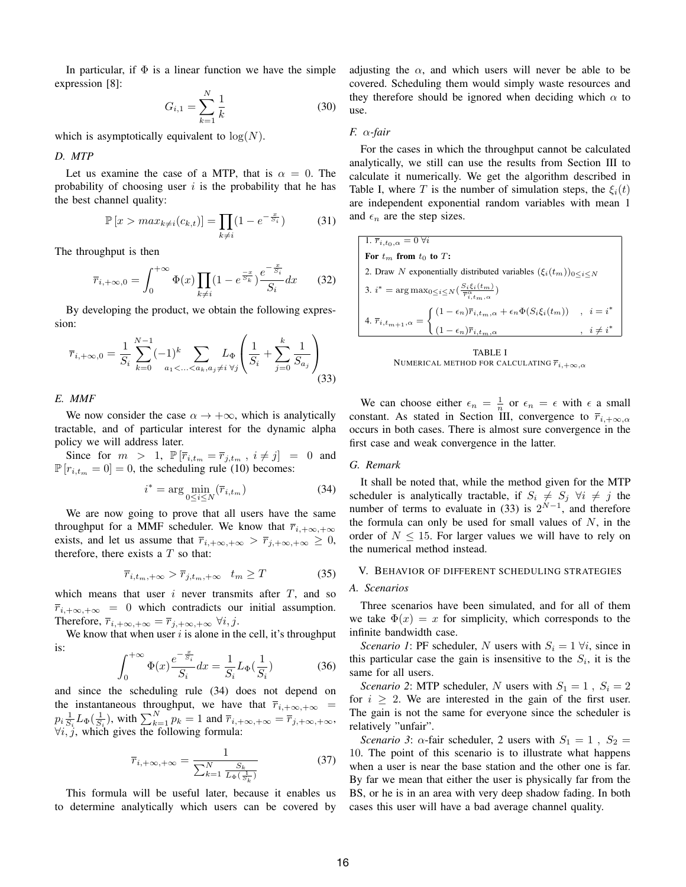In particular, if  $\Phi$  is a linear function we have the simple expression [8]:

$$
G_{i,1} = \sum_{k=1}^{N} \frac{1}{k}
$$
 (30)

which is asymptotically equivalent to  $log(N)$ .

*D. MTP*

Let us examine the case of a MTP, that is  $\alpha = 0$ . The probability of choosing user  $i$  is the probability that he has the best channel quality:

$$
\mathbb{P}\left[x > \max_{k \neq i} (c_{k,t})\right] = \prod_{k \neq i} (1 - e^{-\frac{x}{S_i}}) \tag{31}
$$

The throughput is then

$$
\overline{r}_{i,+\infty,0} = \int_0^{+\infty} \Phi(x) \prod_{k \neq i} (1 - e^{\frac{-x}{S_k}}) \frac{e^{-\frac{x}{S_i}}}{S_i} dx \qquad (32)
$$

By developing the product, we obtain the following expression:

$$
\overline{r}_{i,+\infty,0} = \frac{1}{S_i} \sum_{k=0}^{N-1} (-1)^k \sum_{a_1 < \ldots < a_k, a_j \neq i} L_{\Phi} \left( \frac{1}{S_i} + \sum_{j=0}^k \frac{1}{S_{a_j}} \right)
$$
(33)

*E. MMF*

We now consider the case  $\alpha \rightarrow +\infty$ , which is analytically tractable, and of particular interest for the dynamic alpha policy we will address later.

Since for  $m > 1$ ,  $\mathbb{P}[\overline{r}_{i,t_m} = \overline{r}_{j,t_m}, i \neq j] = 0$  and  $\mathbb{P}[r_{i,t_m} = 0] = 0$ , the scheduling rule (10) becomes:

$$
i^* = \arg\min_{0 \le i \le N} (\overline{r}_{i,t_m})
$$
\n(34)

We are now going to prove that all users have the same throughput for a MMF scheduler. We know that  $\overline{r}_{i,+\infty,+\infty}$ exists, and let us assume that  $\overline{r}_{i,+\infty,+\infty} > \overline{r}_{j,+\infty,+\infty} \geq 0$ , therefore, there exists a  $T$  so that:

$$
\overline{r}_{i,t_m,+\infty} > \overline{r}_{j,t_m,+\infty} \quad t_m \ge T \tag{35}
$$

which means that user  $i$  never transmits after  $T$ , and so  $\overline{r}_{i,+\infty,+\infty} = 0$  which contradicts our initial assumption. Therefore,  $\overline{r}_{i,+\infty,+\infty} = \overline{r}_{j,+\infty,+\infty} \ \forall i, j.$ 

We know that when user  $i$  is alone in the cell, it's throughput is:

$$
\int_0^{+\infty} \Phi(x) \frac{e^{-\frac{x}{S_i}}}{S_i} dx = \frac{1}{S_i} L_{\Phi}(\frac{1}{S_i})
$$
 (36)

and since the scheduling rule (34) does not depend on the instantaneous throughput, we have that  $\overline{r}_{i,+\infty,+\infty}$  =  $p_i \frac{1}{S_i} L_{\Phi}(\frac{1}{S_i})$ , with  $\sum_{k=1}^{N} p_k = 1$  and  $\overline{r}_{i, +\infty, +\infty} = \overline{r}_{j, +\infty, +\infty}$ ,  $\forall i, \hat{j}$ , which gives the following formula:

$$
\overline{r}_{i,+\infty,+\infty} = \frac{1}{\sum_{k=1}^{N} \frac{S_k}{L_{\Phi}(\frac{1}{S_k})}}
$$
(37)

This formula will be useful later, because it enables us to determine analytically which users can be covered by adjusting the  $\alpha$ , and which users will never be able to be covered. Scheduling them would simply waste resources and they therefore should be ignored when deciding which  $\alpha$  to use.

#### *F.* α*-fair*

For the cases in which the throughput cannot be calculated analytically, we still can use the results from Section III to calculate it numerically. We get the algorithm described in Table I, where T is the number of simulation steps, the  $\xi_i(t)$ are independent exponential random variables with mean 1 and  $\epsilon_n$  are the step sizes.

1. 
$$
\bar{r}_{i,t_0,\alpha} = 0 \,\forall i
$$
  
\nFor  $t_m$  from  $t_0$  to  $T$ :  
\n2. Draw  $N$  exponentially distributed variables  $(\xi_i(t_m))_{0 \le i \le N}$   
\n3.  $i^* = \arg \max_{0 \le i \le N} (\frac{S_i \xi_i(t_m)}{\bar{r}_{i,t_m,\alpha}^{\alpha}})$   
\n4.  $\bar{r}_{i,t_{m+1},\alpha} = \begin{cases} (1 - \epsilon_n) \bar{r}_{i,t_m,\alpha} + \epsilon_n \Phi(S_i \xi_i(t_m)) & , i = i^* \\ (1 - \epsilon_n) \bar{r}_{i,t_m,\alpha} & , i \ne i^* \end{cases}$ 



We can choose either  $\epsilon_n = \frac{1}{n}$  or  $\epsilon_n = \epsilon$  with  $\epsilon$  a small constant. As stated in Section III, convergence to  $\overline{r}_{i,+\infty,\alpha}$ occurs in both cases. There is almost sure convergence in the first case and weak convergence in the latter.

## *G. Remark*

It shall be noted that, while the method given for the MTP scheduler is analytically tractable, if  $S_i \neq S_j$   $\forall i \neq j$  the number of terms to evaluate in (33) is  $2^{N-1}$ , and therefore the formula can only be used for small values of  $N$ , in the order of  $N \leq 15$ . For larger values we will have to rely on the numerical method instead.

## V. BEHAVIOR OF DIFFERENT SCHEDULING STRATEGIES

# *A. Scenarios*

Three scenarios have been simulated, and for all of them we take  $\Phi(x) = x$  for simplicity, which corresponds to the infinite bandwidth case.

*Scenario 1*: PF scheduler, N users with  $S_i = 1 \forall i$ , since in this particular case the gain is insensitive to the  $S_i$ , it is the same for all users.

*Scenario 2*: MTP scheduler, N users with  $S_1 = 1$ ,  $S_i = 2$ for  $i \geq 2$ . We are interested in the gain of the first user. The gain is not the same for everyone since the scheduler is relatively "unfair".

*Scenario 3*:  $\alpha$ -fair scheduler, 2 users with  $S_1 = 1$ ,  $S_2 =$ 10. The point of this scenario is to illustrate what happens when a user is near the base station and the other one is far. By far we mean that either the user is physically far from the BS, or he is in an area with very deep shadow fading. In both cases this user will have a bad average channel quality.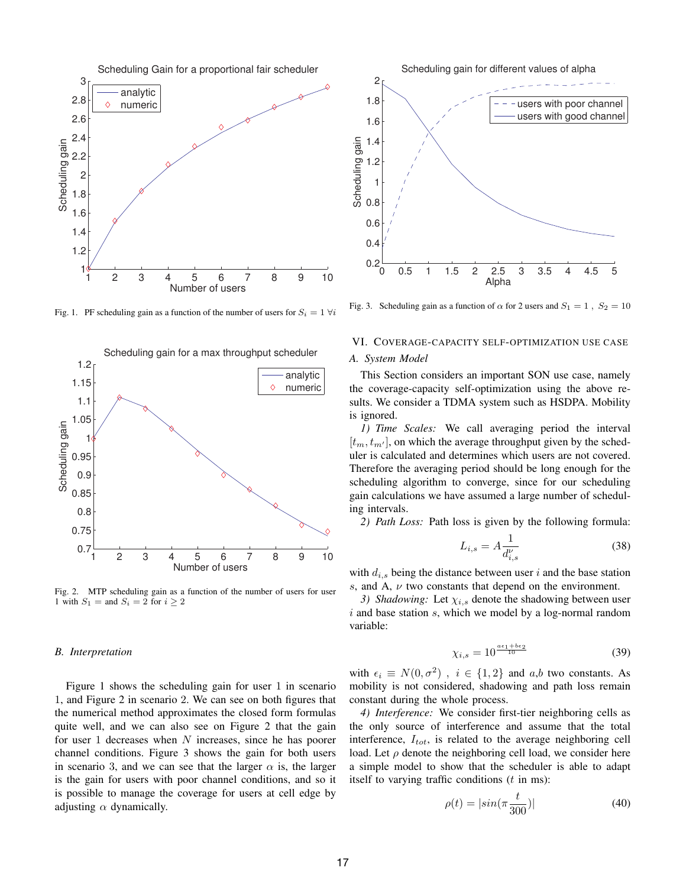

Fig. 1. PF scheduling gain as a function of the number of users for  $S_i = 1 \forall i$ 



Fig. 2. MTP scheduling gain as a function of the number of users for user 1 with  $S_1$  = and  $S_i$  = 2 for  $i \geq 2$ 

#### *B. Interpretation*

Figure 1 shows the scheduling gain for user 1 in scenario 1, and Figure 2 in scenario 2. We can see on both figures that the numerical method approximates the closed form formulas quite well, and we can also see on Figure 2 that the gain for user 1 decreases when  $N$  increases, since he has poorer channel conditions. Figure 3 shows the gain for both users in scenario 3, and we can see that the larger  $\alpha$  is, the larger is the gain for users with poor channel conditions, and so it is possible to manage the coverage for users at cell edge by adjusting  $\alpha$  dynamically.



Fig. 3. Scheduling gain as a function of  $\alpha$  for 2 users and  $S_1 = 1$ ,  $S_2 = 10$ 

## VI. COVERAGE-CAPACITY SELF-OPTIMIZATION USE CASE

## *A. System Model*

This Section considers an important SON use case, namely the coverage-capacity self-optimization using the above results. We consider a TDMA system such as HSDPA. Mobility is ignored.

*1) Time Scales:* We call averaging period the interval  $[t_m, t_{m'}]$ , on which the average throughput given by the scheduler is calculated and determines which users are not covered. Therefore the averaging period should be long enough for the scheduling algorithm to converge, since for our scheduling gain calculations we have assumed a large number of scheduling intervals.

*2) Path Loss:* Path loss is given by the following formula:

$$
L_{i,s} = A \frac{1}{d_{i,s}^{\nu}} \tag{38}
$$

with  $d_{i,s}$  being the distance between user i and the base station s, and A,  $\nu$  two constants that depend on the environment.

*3) Shadowing:* Let  $\chi_{i,s}$  denote the shadowing between user  $i$  and base station  $s$ , which we model by a log-normal random variable:

$$
\chi_{i,s} = 10^{\frac{a\epsilon_1 + b\epsilon_2}{10}}\tag{39}
$$

with  $\epsilon_i \equiv N(0, \sigma^2)$ ,  $i \in \{1, 2\}$  and  $a, b$  two constants. As mobility is not considered, shadowing and path loss remain constant during the whole process.

*4) Interference:* We consider first-tier neighboring cells as the only source of interference and assume that the total interference,  $I_{tot}$ , is related to the average neighboring cell load. Let  $\rho$  denote the neighboring cell load, we consider here a simple model to show that the scheduler is able to adapt itself to varying traffic conditions  $(t \text{ in ms})$ :

$$
\rho(t) = |\sin(\pi \frac{t}{300})| \tag{40}
$$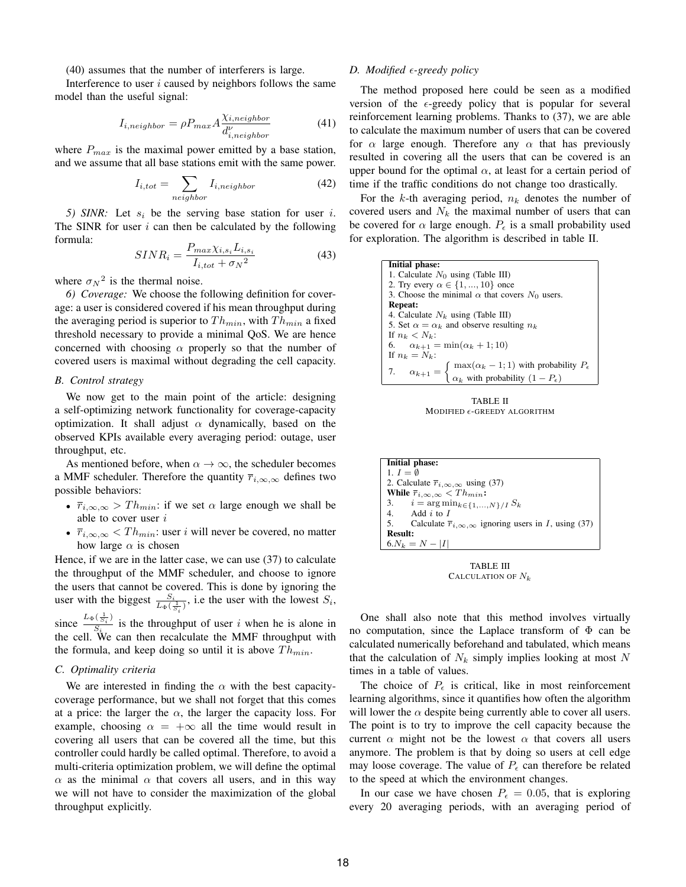(40) assumes that the number of interferers is large.

Interference to user  $i$  caused by neighbors follows the same model than the useful signal:

$$
I_{i,neighbor} = \rho P_{max} A \frac{\chi_{i,neighbor}}{d_{i,neighbor}^{\nu}}
$$
 (41)

where  $P_{max}$  is the maximal power emitted by a base station, and we assume that all base stations emit with the same power.

$$
I_{i,tot} = \sum_{neighbor} I_{i,neighbour} \tag{42}
$$

*5) SINR:* Let  $s_i$  be the serving base station for user i. The SINR for user  $i$  can then be calculated by the following formula:

$$
SINR_i = \frac{P_{max}\chi_{i,s_i}L_{i,s_i}}{I_{i,tot} + \sigma_N{}^2}
$$
(43)

where  $\sigma_N^2$  is the thermal noise.

*6) Coverage:* We choose the following definition for coverage: a user is considered covered if his mean throughput during the averaging period is superior to  $Th_{min}$ , with  $Th_{min}$  a fixed threshold necessary to provide a minimal QoS. We are hence concerned with choosing  $\alpha$  properly so that the number of covered users is maximal without degrading the cell capacity.

## *B. Control strategy*

We now get to the main point of the article: designing a self-optimizing network functionality for coverage-capacity optimization. It shall adjust  $\alpha$  dynamically, based on the observed KPIs available every averaging period: outage, user throughput, etc.

As mentioned before, when  $\alpha \to \infty$ , the scheduler becomes a MMF scheduler. Therefore the quantity  $\overline{r}_{i,\infty,\infty}$  defines two possible behaviors:

- $\overline{r}_{i,\infty,\infty}$  >  $Th_{min}$ : if we set  $\alpha$  large enough we shall be able to cover user i
- $\overline{r}_{i,\infty,\infty}$  <  $Th_{min}$ : user i will never be covered, no matter how large  $\alpha$  is chosen

Hence, if we are in the latter case, we can use (37) to calculate the throughput of the MMF scheduler, and choose to ignore the users that cannot be covered. This is done by ignoring the user with the biggest  $\frac{S_i}{L_{\Phi}(\frac{1}{S_i})}$ , i.e the user with the lowest  $S_i$ ,  $s_i$ since  $\frac{L_{\Phi}(\frac{1}{S_i})}{S_i}$  $\frac{\sqrt{S_i}}{S_i}$  is the throughput of user *i* when he is alone in

the cell. We can then recalculate the MMF throughput with the formula, and keep doing so until it is above  $Th_{min}$ .

# *C. Optimality criteria*

We are interested in finding the  $\alpha$  with the best capacitycoverage performance, but we shall not forget that this comes at a price: the larger the  $\alpha$ , the larger the capacity loss. For example, choosing  $\alpha = +\infty$  all the time would result in covering all users that can be covered all the time, but this controller could hardly be called optimal. Therefore, to avoid a multi-criteria optimization problem, we will define the optimal  $\alpha$  as the minimal  $\alpha$  that covers all users, and in this way we will not have to consider the maximization of the global throughput explicitly.

## *D. Modified*  $\epsilon$ -greedy policy

The method proposed here could be seen as a modified version of the  $\epsilon$ -greedy policy that is popular for several reinforcement learning problems. Thanks to (37), we are able to calculate the maximum number of users that can be covered for  $\alpha$  large enough. Therefore any  $\alpha$  that has previously resulted in covering all the users that can be covered is an upper bound for the optimal  $\alpha$ , at least for a certain period of time if the traffic conditions do not change too drastically.

For the k-th averaging period,  $n_k$  denotes the number of covered users and  $N_k$  the maximal number of users that can be covered for  $\alpha$  large enough.  $P_{\epsilon}$  is a small probability used for exploration. The algorithm is described in table II.

| Initial phase:                                                                                                                                                        |
|-----------------------------------------------------------------------------------------------------------------------------------------------------------------------|
| 1. Calculate $N_0$ using (Table III)                                                                                                                                  |
| 2. Try every $\alpha \in \{1, , 10\}$ once                                                                                                                            |
| 3. Choose the minimal $\alpha$ that covers $N_0$ users.                                                                                                               |
| <b>Repeat:</b>                                                                                                                                                        |
| 4. Calculate $N_k$ using (Table III)                                                                                                                                  |
| 5. Set $\alpha = \alpha_k$ and observe resulting $n_k$                                                                                                                |
| If $n_k < N_k$ :                                                                                                                                                      |
| 6. $\alpha_{k+1} = \min(\alpha_k + 1; 10)$                                                                                                                            |
| If $n_k = N_k$ :                                                                                                                                                      |
|                                                                                                                                                                       |
| 7. $\alpha_{k+1} = \begin{cases} \max(\alpha_k - 1; 1) & \text{with probability } P_{\epsilon} \\ \alpha_k & \text{with probability } (1 - P_{\epsilon}) \end{cases}$ |

TABLE II MODIFIED  $\epsilon$ -GREEDY ALGORITHM

| Initial phase:                                                                |  |
|-------------------------------------------------------------------------------|--|
| 1. $I = \emptyset$                                                            |  |
| 2. Calculate $\overline{r}_{i,\infty,\infty}$ using (37)                      |  |
| While $\bar{r}_{i,\infty,\infty} < Th_{min}$ :                                |  |
| 3. $i = \arg \min_{k \in \{1, , N\}} / I S_k$                                 |  |
| 4. Add $i$ to $I$                                                             |  |
| 5. Calculate $\overline{r}_{i,\infty,\infty}$ ignoring users in I, using (37) |  |
| <b>Result:</b>                                                                |  |
| $6.N_k = N -  I $                                                             |  |

TABLE III CALCULATION OF  $N_k$ 

One shall also note that this method involves virtually no computation, since the Laplace transform of Φ can be calculated numerically beforehand and tabulated, which means that the calculation of  $N_k$  simply implies looking at most N times in a table of values.

The choice of  $P_{\epsilon}$  is critical, like in most reinforcement learning algorithms, since it quantifies how often the algorithm will lower the  $\alpha$  despite being currently able to cover all users. The point is to try to improve the cell capacity because the current  $\alpha$  might not be the lowest  $\alpha$  that covers all users anymore. The problem is that by doing so users at cell edge may loose coverage. The value of  $P<sub>\epsilon</sub>$  can therefore be related to the speed at which the environment changes.

In our case we have chosen  $P<sub>\epsilon</sub> = 0.05$ , that is exploring every 20 averaging periods, with an averaging period of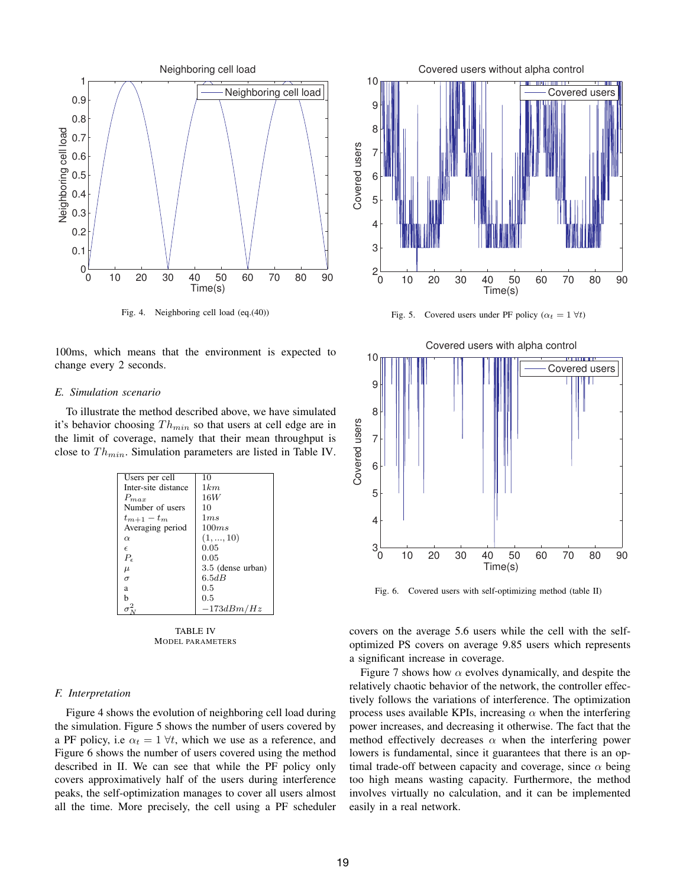

Fig. 4. Neighboring cell load (eq.(40))

100ms, which means that the environment is expected to change every 2 seconds.

#### *E. Simulation scenario*

To illustrate the method described above, we have simulated it's behavior choosing  $Th_{min}$  so that users at cell edge are in the limit of coverage, namely that their mean throughput is close to  $Th_{min}$ . Simulation parameters are listed in Table IV.

| Users per cell      | 10                |
|---------------------|-------------------|
| Inter-site distance | 1km               |
| $P_{max}$           | 16W               |
| Number of users     | 10                |
| $t_{m+1}-t_m$       | 1ms               |
| Averaging period    | 100ms             |
| $\alpha$            | (1, , 10)         |
| $\epsilon$          | 0.05              |
| $P_{\epsilon}$      | 0.05              |
| $\mu$               | 3.5 (dense urban) |
| $\sigma$            | 6.5dB             |
| a                   | 0.5               |
| h                   | 0.5               |
|                     | $-173dBm/Hz$      |

TABLE IV MODEL PARAMETERS

### *F. Interpretation*

Figure 4 shows the evolution of neighboring cell load during the simulation. Figure 5 shows the number of users covered by a PF policy, i.e  $\alpha_t = 1 \forall t$ , which we use as a reference, and Figure 6 shows the number of users covered using the method described in II. We can see that while the PF policy only covers approximatively half of the users during interference peaks, the self-optimization manages to cover all users almost all the time. More precisely, the cell using a PF scheduler



Fig. 5. Covered users under PF policy ( $\alpha_t = 1 \forall t$ )



Fig. 6. Covered users with self-optimizing method (table II)

covers on the average 5.6 users while the cell with the selfoptimized PS covers on average 9.85 users which represents a significant increase in coverage.

Figure 7 shows how  $\alpha$  evolves dynamically, and despite the relatively chaotic behavior of the network, the controller effectively follows the variations of interference. The optimization process uses available KPIs, increasing  $\alpha$  when the interfering power increases, and decreasing it otherwise. The fact that the method effectively decreases  $\alpha$  when the interfering power lowers is fundamental, since it guarantees that there is an optimal trade-off between capacity and coverage, since  $\alpha$  being too high means wasting capacity. Furthermore, the method involves virtually no calculation, and it can be implemented easily in a real network.